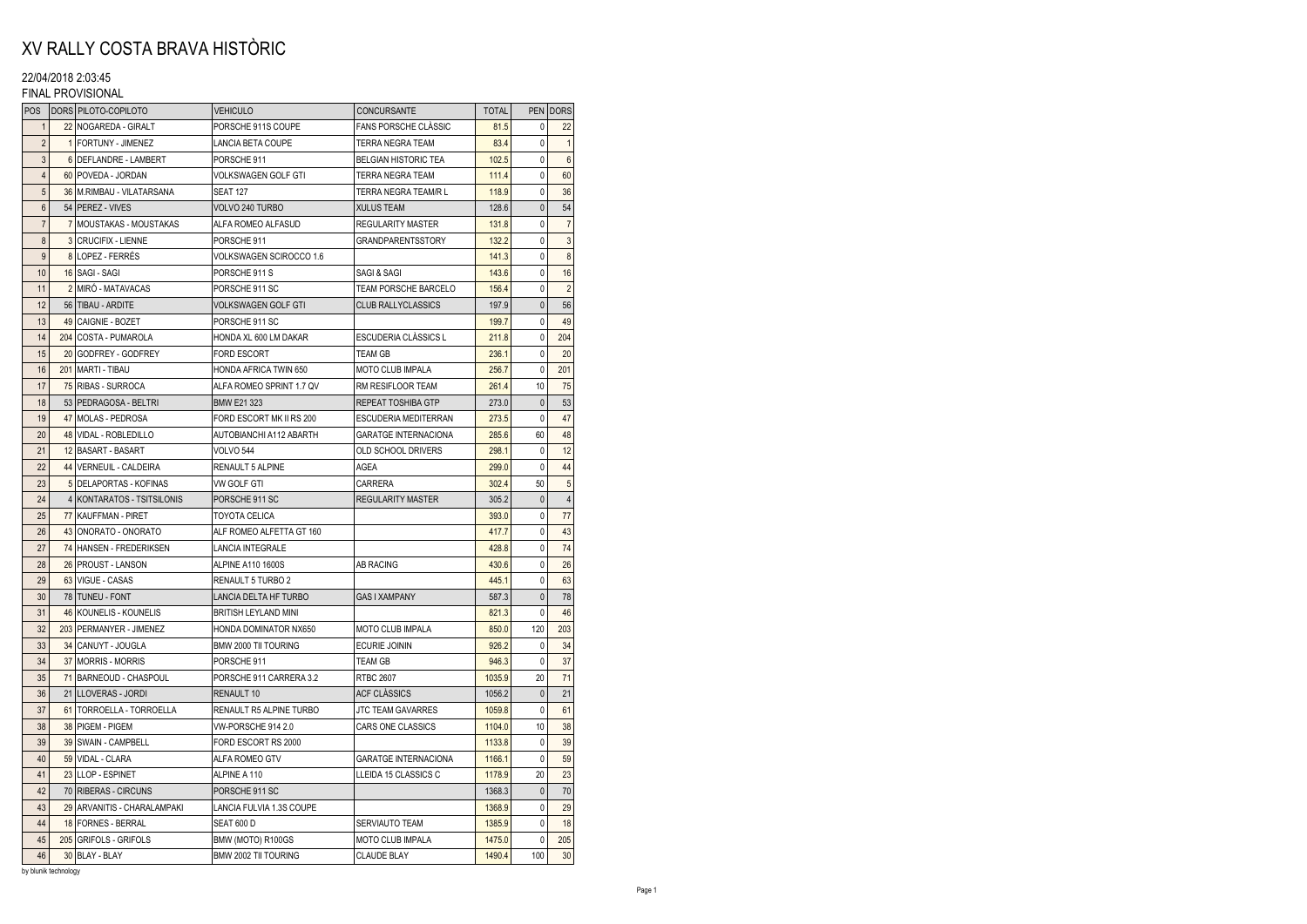# XV RALLY COSTA BRAVA HISTÒRIC

## 22/04/2018 2:03:45

### FINAL PROVISIONAL

| POS              | DORS PILOTO-COPILOTO        | <b>VEHICULO</b>             | CONCURSANTE                 | <b>TOTAL</b> |              | PEN   DORS     |
|------------------|-----------------------------|-----------------------------|-----------------------------|--------------|--------------|----------------|
| $\mathbf{1}$     | 22 NOGAREDA - GIRALT        | PORSCHE 911S COUPE          | <b>FANS PORSCHE CLASSIC</b> | 81.5         | $\Omega$     | 22             |
| $\overline{2}$   | 1 FORTUNY - JIMENEZ         | LANCIA BETA COUPE           | TERRA NEGRA TEAM            | 83.4         | 0            | $\mathbf{1}$   |
| 3                | 6 DEFLANDRE - LAMBERT       | PORSCHE 911                 | <b>BELGIAN HISTORIC TEA</b> | 102.5        | 0            | $6\phantom{1}$ |
| $\overline{4}$   | 60 POVEDA - JORDAN          | <b>VOLKSWAGEN GOLF GTI</b>  | TERRA NEGRA TEAM            | 111.4        | 0            | 60             |
| 5                | 36 M.RIMBAU - VILATARSANA   | <b>SEAT 127</b>             | TERRA NEGRA TEAM/R L        | 118.9        | 0            | 36             |
| 6                | 54 PEREZ - VIVES            | VOLVO 240 TURBO             | <b>XULUS TEAM</b>           | 128.6        | $\pmb{0}$    | 54             |
| $\overline{7}$   | 7 MOUSTAKAS - MOUSTAKAS     | ALFA ROMEO ALFASUD          | <b>REGULARITY MASTER</b>    | 131.8        | 0            | $\overline{7}$ |
| 8                | 3 CRUCIFIX - LIENNE         | PORSCHE 911                 | <b>GRANDPARENTSSTORY</b>    | 132.2        | 0            | $\mathbf{3}$   |
| 9                | 8 LOPEZ - FERRÉS            | VOLKSWAGEN SCIROCCO 1.6     |                             | 141.3        | 0            | $\bf 8$        |
| 10               | 16 SAGI - SAGI              | PORSCHE 911 S               | SAGI & SAGI                 | 143.6        | 0            | 16             |
| 11               | 2 MIRÓ - MATAVACAS          | PORSCHE 911 SC              | TEAM PORSCHE BARCELO        | 156.4        | 0            | $\overline{2}$ |
| 12               | 56   TIBAU - ARDITE         | <b>VOLKSWAGEN GOLF GTI</b>  | <b>CLUB RALLYCLASSICS</b>   | 197.9        | $\pmb{0}$    | 56             |
| 13               | 49 CAIGNIE - BOZET          | PORSCHE 911 SC              |                             | 199.7        | 0            | 49             |
| 14               | 204 COSTA - PUMAROLA        | HONDA XL 600 LM DAKAR       | <b>ESCUDERIA CLÀSSICS L</b> | 211.8        | 0            | 204            |
| 15               | 20 GODFREY - GODFREY        | <b>FORD ESCORT</b>          | <b>TEAM GB</b>              | 236.1        | 0            | 20             |
| 16               | 201 MARTI - TIBAU           | HONDA AFRICA TWIN 650       | MOTO CLUB IMPALA            | 256.7        | 0            | 201            |
| 17               | 75 RIBAS - SURROCA          | ALFA ROMEO SPRINT 1.7 QV    | <b>RM RESIFLOOR TEAM</b>    | 261.4        | 10           | 75             |
| 18               | 53 PEDRAGOSA - BELTRI       | <b>BMW E21 323</b>          | <b>REPEAT TOSHIBA GTP</b>   | 273.0        | $\mathbf{0}$ | 53             |
| 19               | 47 MOLAS - PEDROSA          | FORD ESCORT MK II RS 200    | <b>ESCUDERIA MEDITERRAN</b> | 273.5        | 0            | 47             |
| 20               | 48 VIDAL - ROBLEDILLO       | AUTOBIANCHI A112 ABARTH     | <b>GARATGE INTERNACIONA</b> | 285.6        | 60           | 48             |
| 21               | 12 BASART - BASART          | <b>VOLVO 544</b>            | OLD SCHOOL DRIVERS          | 298.1        | 0            | 12             |
| 22               | 44 VERNEUIL - CALDEIRA      | <b>RENAULT 5 ALPINE</b>     | AGEA                        | 299.0        | $\Omega$     | 44             |
| 23               | 5 DELAPORTAS - KOFINAS      | VW GOLF GTI                 | CARRERA                     | 302.4        | 50           | 5              |
| 24               | 4 KONTARATOS - TSITSILONIS  | PORSCHE 911 SC              | <b>REGULARITY MASTER</b>    | 305.2        | 0            | $\sqrt{4}$     |
| 25               | 77 KAUFFMAN - PIRET         | <b>TOYOTA CELICA</b>        |                             | 393.0        | 0            | 77             |
| 26               | 43 ONORATO - ONORATO        | ALF ROMEO ALFETTA GT 160    |                             | 417.7        | 0            | 43             |
| 27               | 74 HANSEN - FREDERIKSEN     | <b>LANCIA INTEGRALE</b>     |                             | 428.8        | 0            | 74             |
| 28               | 26 PROUST - LANSON          | <b>ALPINE A110 1600S</b>    | <b>AB RACING</b>            | 430.6        | 0            | 26             |
| 29               | 63 VIGUE - CASAS            | RENAULT 5 TURBO 2           |                             | 445.1        | 0            | 63             |
| 30               | 78 TUNEU - FONT             | LANCIA DELTA HF TURBO       | <b>GAS I XAMPANY</b>        | 587.3        | 0            | 78             |
| 31               | 46 KOUNELIS - KOUNELIS      | <b>BRITISH LEYLAND MINI</b> |                             | 821.3        | 0            | 46             |
| 32               | 203 PERMANYER - JIMENEZ     | HONDA DOMINATOR NX650       | MOTO CLUB IMPALA            | 850.0        | 120          | 203            |
| 33               | 34 CANUYT - JOUGLA          | BMW 2000 TII TOURING        | <b>ECURIE JOININ</b>        | 926.2        | 0            | 34             |
| 34               | 37 MORRIS - MORRIS          | PORSCHE 911                 | <b>TEAM GB</b>              | 946.3        | 0            | 37             |
| 35               | 71 BARNEOUD - CHASPOUL      | PORSCHE 911 CARRERA 3.2     | <b>RTBC 2607</b>            | 1035.9       | 20           | 71             |
| 36               | 21 LLOVERAS - JORDI         | RENAULT 10                  | <b>ACF CLÀSSICS</b>         | 1056.2       | 0            | 21             |
| 37               | 61 TORROELLA - TORROELLA    | RENAULT R5 ALPINE TURBO     | <b>JTC TEAM GAVARRES</b>    | 1059.8       | 0            | 61             |
| 38               | 38 PIGEM - PIGEM            | VW-PORSCHE 914 2.0          | CARS ONE CLASSICS           | 1104.0       | 10           | 38             |
| 39               | 39 SWAIN - CAMPBELL         | FORD ESCORT RS 2000         |                             | 1133.8       | 0            | 39             |
| 40               | 59 VIDAL - CLARA            | ALFA ROMEO GTV              | <b>GARATGE INTERNACIONA</b> | 1166.1       | 0            | 59             |
| 41               | 23 LLOP - ESPINET           | ALPINE A 110                | LLEIDA 15 CLASSICS C        | 1178.9       | 20           | 23             |
| 42               | 70 RIBERAS - CIRCUNS        | PORSCHE 911 SC              |                             | 1368.3       | $\pmb{0}$    | 70             |
| 43               | 29 ARVANITIS - CHARALAMPAKI | LANCIA FULVIA 1.3S COUPE    |                             | 1368.9       | 0            | 29             |
| 44               | 18 FORNES - BERRAL          | <b>SEAT 600 D</b>           | <b>SERVIAUTO TEAM</b>       | 1385.9       | 0            | 18             |
| 45               | 205 GRIFOLS - GRIFOLS       | BMW (MOTO) R100GS           | MOTO CLUB IMPALA            | 1475.0       | 0            | 205            |
| 46<br>hu blunik. | 30 BLAY - BLAY              | BMW 2002 TII TOURING        | <b>CLAUDE BLAY</b>          | 1490.4       | 100          | 30             |

by blunik technology